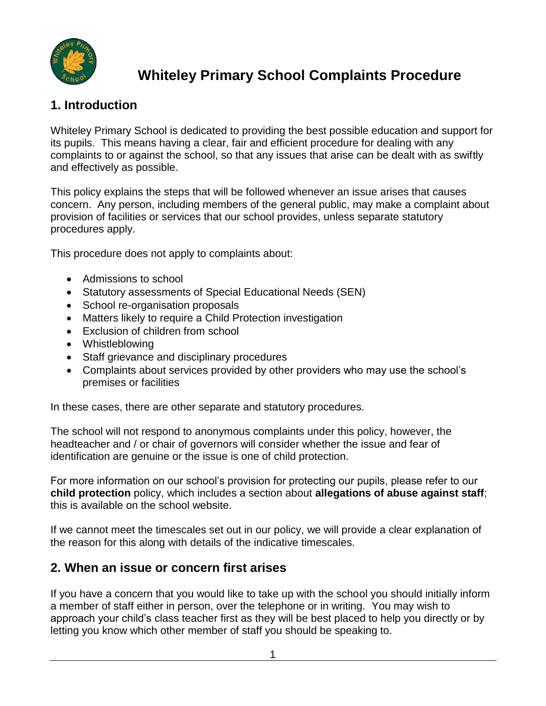

# **Whiteley Primary School Complaints Procedure**

### **1. Introduction**

Whiteley Primary School is dedicated to providing the best possible education and support for its pupils. This means having a clear, fair and efficient procedure for dealing with any complaints to or against the school, so that any issues that arise can be dealt with as swiftly and effectively as possible.

This policy explains the steps that will be followed whenever an issue arises that causes concern. Any person, including members of the general public, may make a complaint about provision of facilities or services that our school provides, unless separate statutory procedures apply.

This procedure does not apply to complaints about:

- Admissions to school
- Statutory assessments of Special Educational Needs (SEN)
- School re-organisation proposals
- Matters likely to require a Child Protection investigation
- Exclusion of children from school
- Whistleblowing
- Staff grievance and disciplinary procedures
- Complaints about services provided by other providers who may use the school's premises or facilities

In these cases, there are other separate and statutory procedures.

The school will not respond to anonymous complaints under this policy, however, the headteacher and / or chair of governors will consider whether the issue and fear of identification are genuine or the issue is one of child protection.

For more information on our school's provision for protecting our pupils, please refer to our **child protection** policy, which includes a section about **allegations of abuse against staff**; this is available on the school website.

If we cannot meet the timescales set out in our policy, we will provide a clear explanation of the reason for this along with details of the indicative timescales.

#### **2. When an issue or concern first arises**

If you have a concern that you would like to take up with the school you should initially inform a member of staff either in person, over the telephone or in writing. You may wish to approach your child's class teacher first as they will be best placed to help you directly or by letting you know which other member of staff you should be speaking to.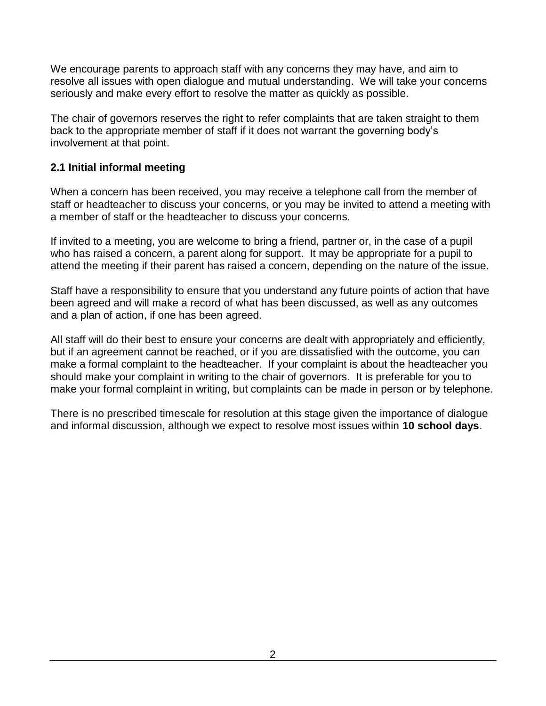We encourage parents to approach staff with any concerns they may have, and aim to resolve all issues with open dialogue and mutual understanding. We will take your concerns seriously and make every effort to resolve the matter as quickly as possible.

The chair of governors reserves the right to refer complaints that are taken straight to them back to the appropriate member of staff if it does not warrant the governing body's involvement at that point.

#### **2.1 Initial informal meeting**

When a concern has been received, you may receive a telephone call from the member of staff or headteacher to discuss your concerns, or you may be invited to attend a meeting with a member of staff or the headteacher to discuss your concerns.

If invited to a meeting, you are welcome to bring a friend, partner or, in the case of a pupil who has raised a concern, a parent along for support. It may be appropriate for a pupil to attend the meeting if their parent has raised a concern, depending on the nature of the issue.

Staff have a responsibility to ensure that you understand any future points of action that have been agreed and will make a record of what has been discussed, as well as any outcomes and a plan of action, if one has been agreed.

All staff will do their best to ensure your concerns are dealt with appropriately and efficiently, but if an agreement cannot be reached, or if you are dissatisfied with the outcome, you can make a formal complaint to the headteacher. If your complaint is about the headteacher you should make your complaint in writing to the chair of governors. It is preferable for you to make your formal complaint in writing, but complaints can be made in person or by telephone.

There is no prescribed timescale for resolution at this stage given the importance of dialogue and informal discussion, although we expect to resolve most issues within **10 school days**.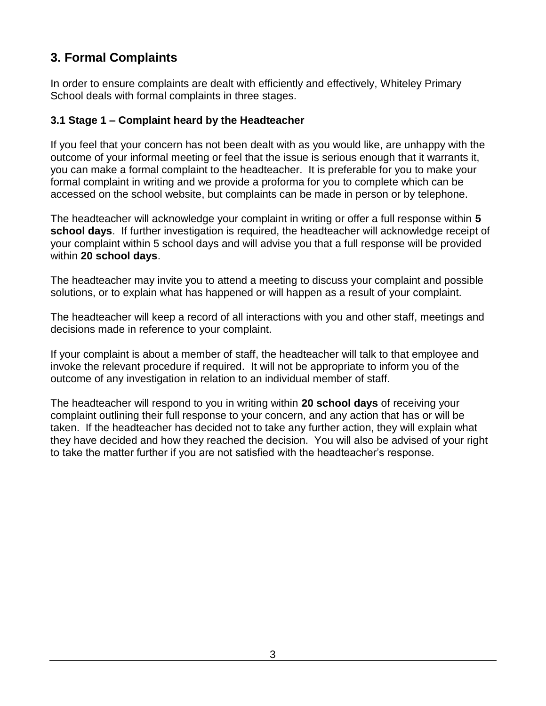### **3. Formal Complaints**

In order to ensure complaints are dealt with efficiently and effectively, Whiteley Primary School deals with formal complaints in three stages.

#### **3.1 Stage 1 – Complaint heard by the Headteacher**

If you feel that your concern has not been dealt with as you would like, are unhappy with the outcome of your informal meeting or feel that the issue is serious enough that it warrants it, you can make a formal complaint to the headteacher. It is preferable for you to make your formal complaint in writing and we provide a proforma for you to complete which can be accessed on the school website, but complaints can be made in person or by telephone.

The headteacher will acknowledge your complaint in writing or offer a full response within **5 school days**. If further investigation is required, the headteacher will acknowledge receipt of your complaint within 5 school days and will advise you that a full response will be provided within **20 school days**.

The headteacher may invite you to attend a meeting to discuss your complaint and possible solutions, or to explain what has happened or will happen as a result of your complaint.

The headteacher will keep a record of all interactions with you and other staff, meetings and decisions made in reference to your complaint.

If your complaint is about a member of staff, the headteacher will talk to that employee and invoke the relevant procedure if required. It will not be appropriate to inform you of the outcome of any investigation in relation to an individual member of staff.

The headteacher will respond to you in writing within **20 school days** of receiving your complaint outlining their full response to your concern, and any action that has or will be taken. If the headteacher has decided not to take any further action, they will explain what they have decided and how they reached the decision. You will also be advised of your right to take the matter further if you are not satisfied with the headteacher's response.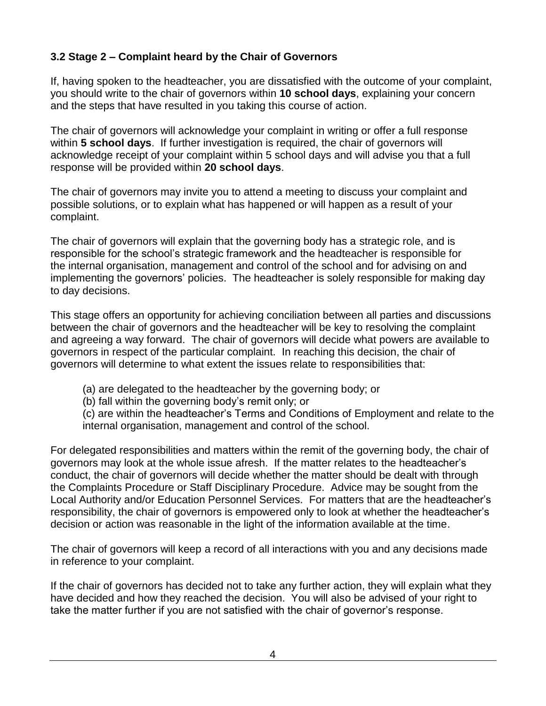#### **3.2 Stage 2 – Complaint heard by the Chair of Governors**

If, having spoken to the headteacher, you are dissatisfied with the outcome of your complaint, you should write to the chair of governors within **10 school days**, explaining your concern and the steps that have resulted in you taking this course of action.

The chair of governors will acknowledge your complaint in writing or offer a full response within **5 school days**. If further investigation is required, the chair of governors will acknowledge receipt of your complaint within 5 school days and will advise you that a full response will be provided within **20 school days**.

The chair of governors may invite you to attend a meeting to discuss your complaint and possible solutions, or to explain what has happened or will happen as a result of your complaint.

The chair of governors will explain that the governing body has a strategic role, and is responsible for the school's strategic framework and the headteacher is responsible for the internal organisation, management and control of the school and for advising on and implementing the governors' policies. The headteacher is solely responsible for making day to day decisions.

This stage offers an opportunity for achieving conciliation between all parties and discussions between the chair of governors and the headteacher will be key to resolving the complaint and agreeing a way forward. The chair of governors will decide what powers are available to governors in respect of the particular complaint. In reaching this decision, the chair of governors will determine to what extent the issues relate to responsibilities that:

(a) are delegated to the headteacher by the governing body; or

(b) fall within the governing body's remit only; or

(c) are within the headteacher's Terms and Conditions of Employment and relate to the internal organisation, management and control of the school.

For delegated responsibilities and matters within the remit of the governing body, the chair of governors may look at the whole issue afresh. If the matter relates to the headteacher's conduct, the chair of governors will decide whether the matter should be dealt with through the Complaints Procedure or Staff Disciplinary Procedure. Advice may be sought from the Local Authority and/or Education Personnel Services. For matters that are the headteacher's responsibility, the chair of governors is empowered only to look at whether the headteacher's decision or action was reasonable in the light of the information available at the time.

The chair of governors will keep a record of all interactions with you and any decisions made in reference to your complaint.

If the chair of governors has decided not to take any further action, they will explain what they have decided and how they reached the decision. You will also be advised of your right to take the matter further if you are not satisfied with the chair of governor's response.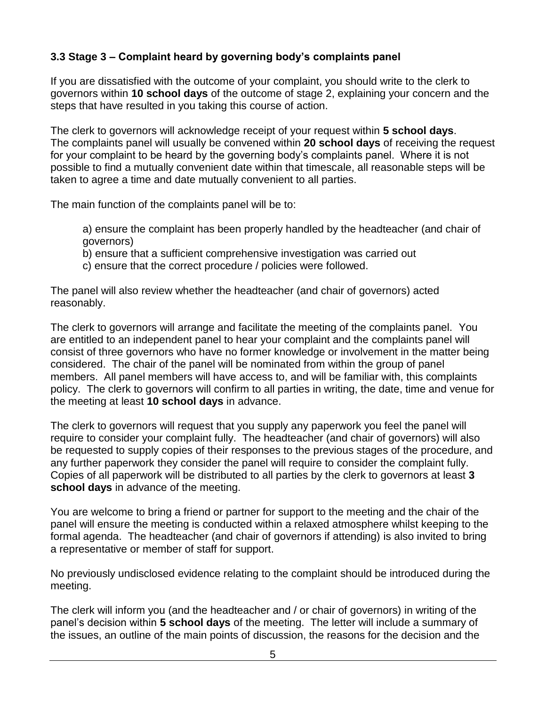#### **3.3 Stage 3 – Complaint heard by governing body's complaints panel**

If you are dissatisfied with the outcome of your complaint, you should write to the clerk to governors within **10 school days** of the outcome of stage 2, explaining your concern and the steps that have resulted in you taking this course of action.

The clerk to governors will acknowledge receipt of your request within **5 school days**. The complaints panel will usually be convened within **20 school days** of receiving the request for your complaint to be heard by the governing body's complaints panel. Where it is not possible to find a mutually convenient date within that timescale, all reasonable steps will be taken to agree a time and date mutually convenient to all parties.

The main function of the complaints panel will be to:

- a) ensure the complaint has been properly handled by the headteacher (and chair of governors)
- b) ensure that a sufficient comprehensive investigation was carried out
- c) ensure that the correct procedure / policies were followed.

The panel will also review whether the headteacher (and chair of governors) acted reasonably.

The clerk to governors will arrange and facilitate the meeting of the complaints panel. You are entitled to an independent panel to hear your complaint and the complaints panel will consist of three governors who have no former knowledge or involvement in the matter being considered. The chair of the panel will be nominated from within the group of panel members. All panel members will have access to, and will be familiar with, this complaints policy. The clerk to governors will confirm to all parties in writing, the date, time and venue for the meeting at least **10 school days** in advance.

The clerk to governors will request that you supply any paperwork you feel the panel will require to consider your complaint fully. The headteacher (and chair of governors) will also be requested to supply copies of their responses to the previous stages of the procedure, and any further paperwork they consider the panel will require to consider the complaint fully. Copies of all paperwork will be distributed to all parties by the clerk to governors at least **3 school days** in advance of the meeting.

You are welcome to bring a friend or partner for support to the meeting and the chair of the panel will ensure the meeting is conducted within a relaxed atmosphere whilst keeping to the formal agenda. The headteacher (and chair of governors if attending) is also invited to bring a representative or member of staff for support.

No previously undisclosed evidence relating to the complaint should be introduced during the meeting.

The clerk will inform you (and the headteacher and / or chair of governors) in writing of the panel's decision within **5 school days** of the meeting. The letter will include a summary of the issues, an outline of the main points of discussion, the reasons for the decision and the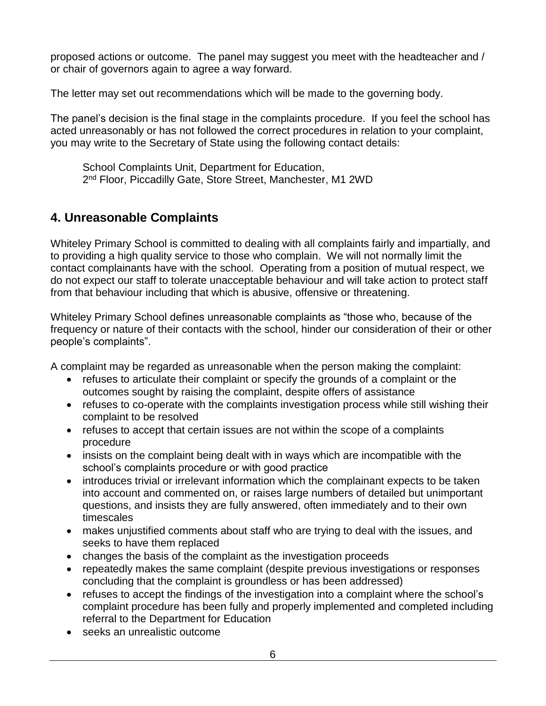proposed actions or outcome. The panel may suggest you meet with the headteacher and / or chair of governors again to agree a way forward.

The letter may set out recommendations which will be made to the governing body.

The panel's decision is the final stage in the complaints procedure. If you feel the school has acted unreasonably or has not followed the correct procedures in relation to your complaint, you may write to the Secretary of State using the following contact details:

School Complaints Unit, Department for Education, 2<sup>nd</sup> Floor, Piccadilly Gate, Store Street, Manchester, M1 2WD

### **4. Unreasonable Complaints**

Whiteley Primary School is committed to dealing with all complaints fairly and impartially, and to providing a high quality service to those who complain. We will not normally limit the contact complainants have with the school. Operating from a position of mutual respect, we do not expect our staff to tolerate unacceptable behaviour and will take action to protect staff from that behaviour including that which is abusive, offensive or threatening.

Whiteley Primary School defines unreasonable complaints as "those who, because of the frequency or nature of their contacts with the school, hinder our consideration of their or other people's complaints".

A complaint may be regarded as unreasonable when the person making the complaint:

- refuses to articulate their complaint or specify the grounds of a complaint or the outcomes sought by raising the complaint, despite offers of assistance
- refuses to co-operate with the complaints investigation process while still wishing their complaint to be resolved
- refuses to accept that certain issues are not within the scope of a complaints procedure
- insists on the complaint being dealt with in ways which are incompatible with the school's complaints procedure or with good practice
- introduces trivial or irrelevant information which the complainant expects to be taken into account and commented on, or raises large numbers of detailed but unimportant questions, and insists they are fully answered, often immediately and to their own timescales
- makes unjustified comments about staff who are trying to deal with the issues, and seeks to have them replaced
- changes the basis of the complaint as the investigation proceeds
- repeatedly makes the same complaint (despite previous investigations or responses concluding that the complaint is groundless or has been addressed)
- refuses to accept the findings of the investigation into a complaint where the school's complaint procedure has been fully and properly implemented and completed including referral to the Department for Education
- seeks an unrealistic outcome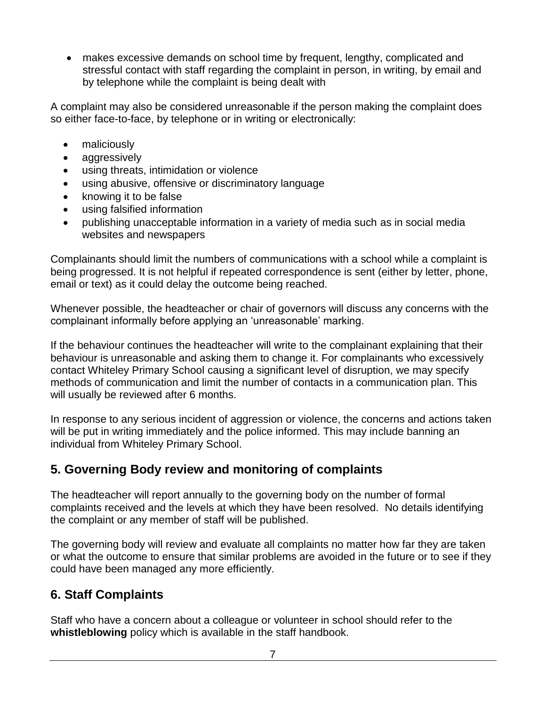makes excessive demands on school time by frequent, lengthy, complicated and stressful contact with staff regarding the complaint in person, in writing, by email and by telephone while the complaint is being dealt with

A complaint may also be considered unreasonable if the person making the complaint does so either face-to-face, by telephone or in writing or electronically:

- maliciously
- aggressively
- using threats, intimidation or violence
- using abusive, offensive or discriminatory language
- knowing it to be false
- using falsified information
- publishing unacceptable information in a variety of media such as in social media websites and newspapers

Complainants should limit the numbers of communications with a school while a complaint is being progressed. It is not helpful if repeated correspondence is sent (either by letter, phone, email or text) as it could delay the outcome being reached.

Whenever possible, the headteacher or chair of governors will discuss any concerns with the complainant informally before applying an 'unreasonable' marking.

If the behaviour continues the headteacher will write to the complainant explaining that their behaviour is unreasonable and asking them to change it. For complainants who excessively contact Whiteley Primary School causing a significant level of disruption, we may specify methods of communication and limit the number of contacts in a communication plan. This will usually be reviewed after 6 months.

In response to any serious incident of aggression or violence, the concerns and actions taken will be put in writing immediately and the police informed. This may include banning an individual from Whiteley Primary School.

### **5. Governing Body review and monitoring of complaints**

The headteacher will report annually to the governing body on the number of formal complaints received and the levels at which they have been resolved. No details identifying the complaint or any member of staff will be published.

The governing body will review and evaluate all complaints no matter how far they are taken or what the outcome to ensure that similar problems are avoided in the future or to see if they could have been managed any more efficiently.

### **6. Staff Complaints**

Staff who have a concern about a colleague or volunteer in school should refer to the **whistleblowing** policy which is available in the staff handbook.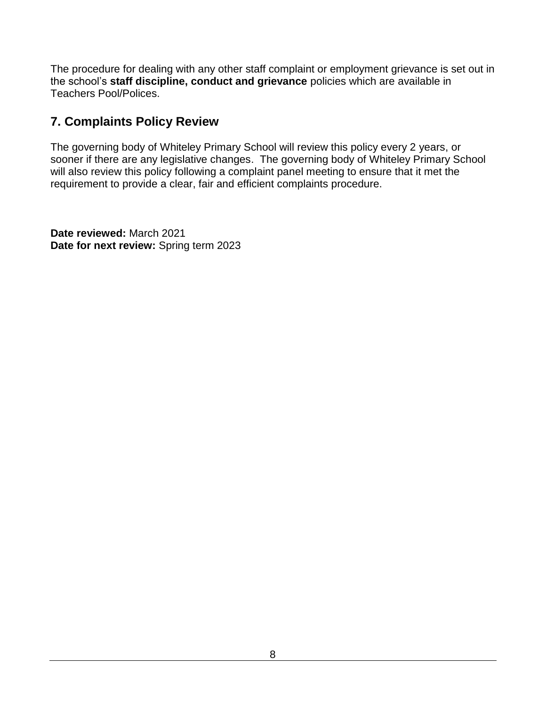The procedure for dealing with any other staff complaint or employment grievance is set out in the school's **staff discipline, conduct and grievance** policies which are available in Teachers Pool/Polices.

### **7. Complaints Policy Review**

The governing body of Whiteley Primary School will review this policy every 2 years, or sooner if there are any legislative changes. The governing body of Whiteley Primary School will also review this policy following a complaint panel meeting to ensure that it met the requirement to provide a clear, fair and efficient complaints procedure.

**Date reviewed:** March 2021 **Date for next review:** Spring term 2023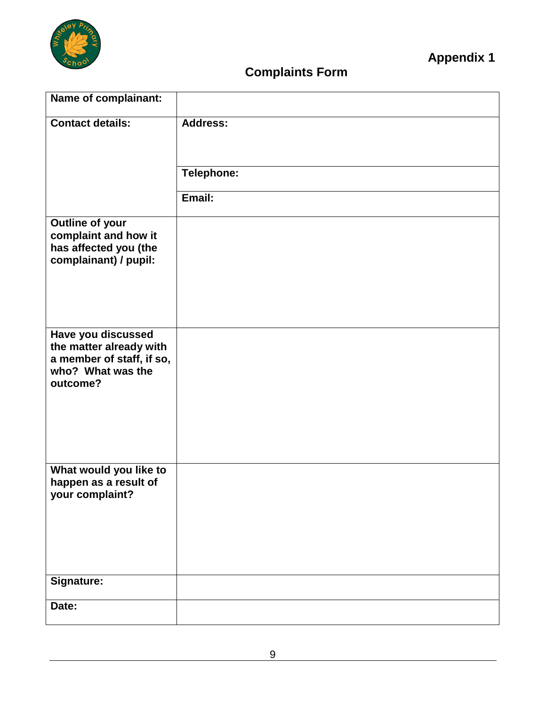

## **Complaints Form**

| Name of complainant:                                                                      |                 |
|-------------------------------------------------------------------------------------------|-----------------|
| <b>Contact details:</b>                                                                   | <b>Address:</b> |
|                                                                                           | Telephone:      |
|                                                                                           | Email:          |
| Outline of your<br>complaint and how it<br>has affected you (the<br>complainant) / pupil: |                 |
| Have you discussed                                                                        |                 |
| the matter already with<br>a member of staff, if so,<br>who? What was the<br>outcome?     |                 |
|                                                                                           |                 |
|                                                                                           |                 |
| What would you like to<br>happen as a result of<br>your complaint?                        |                 |
|                                                                                           |                 |
|                                                                                           |                 |
| Signature:                                                                                |                 |
| Date:                                                                                     |                 |